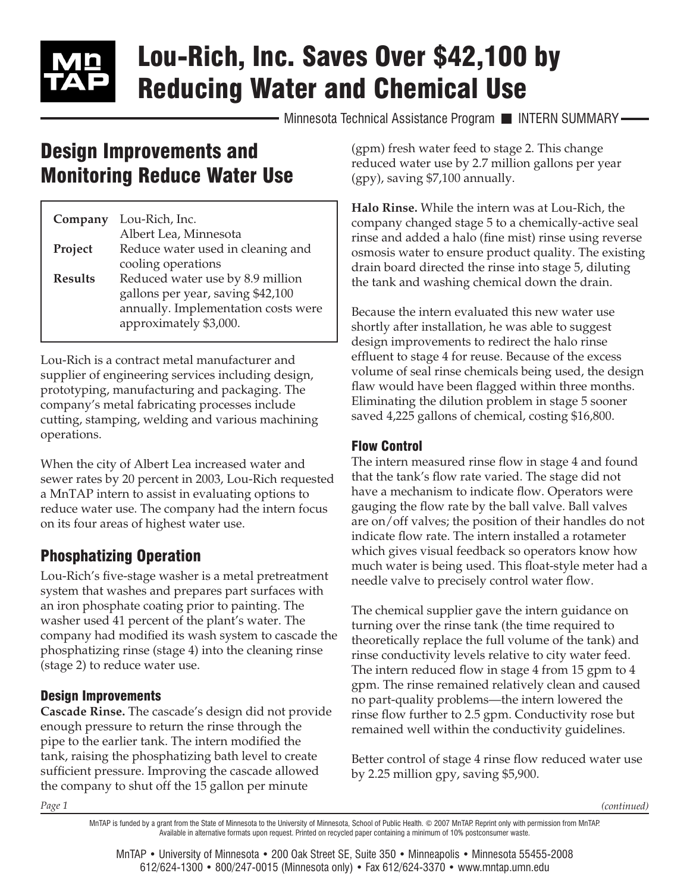# Lou-Rich, Inc. Saves Over \$42,100 by Reducing Water and Chemical Use

Minnesota Technical Assistance Program INTERN SUMMARY-

# Design Improvements and Monitoring Reduce Water Use

| Company        | Lou-Rich, Inc.                      |
|----------------|-------------------------------------|
|                | Albert Lea, Minnesota               |
| Project        | Reduce water used in cleaning and   |
|                | cooling operations                  |
| <b>Results</b> | Reduced water use by 8.9 million    |
|                | gallons per year, saving \$42,100   |
|                | annually. Implementation costs were |
|                | approximately \$3,000.              |

Lou-Rich is a contract metal manufacturer and supplier of engineering services including design, prototyping, manufacturing and packaging. The company's metal fabricating processes include cutting, stamping, welding and various machining operations.

When the city of Albert Lea increased water and sewer rates by 20 percent in 2003, Lou-Rich requested a MnTAP intern to assist in evaluating options to reduce water use. The company had the intern focus on its four areas of highest water use.

# Phosphatizing Operation

Lou-Rich's five-stage washer is a metal pretreatment system that washes and prepares part surfaces with an iron phosphate coating prior to painting. The washer used 41 percent of the plant's water. The company had modified its wash system to cascade the phosphatizing rinse (stage 4) into the cleaning rinse (stage 2) to reduce water use.

#### Design Improvements

**Cascade Rinse.** The cascade's design did not provide enough pressure to return the rinse through the pipe to the earlier tank. The intern modified the tank, raising the phosphatizing bath level to create sufficient pressure. Improving the cascade allowed the company to shut off the 15 gallon per minute

(gpm) fresh water feed to stage 2. This change reduced water use by 2.7 million gallons per year (gpy), saving \$7,100 annually.

**Halo Rinse.** While the intern was at Lou-Rich, the company changed stage 5 to a chemically-active seal rinse and added a halo (fine mist) rinse using reverse osmosis water to ensure product quality. The existing drain board directed the rinse into stage 5, diluting the tank and washing chemical down the drain.

Because the intern evaluated this new water use shortly after installation, he was able to suggest design improvements to redirect the halo rinse effluent to stage 4 for reuse. Because of the excess volume of seal rinse chemicals being used, the design flaw would have been flagged within three months. Eliminating the dilution problem in stage 5 sooner saved 4,225 gallons of chemical, costing \$16,800.

#### Flow Control

The intern measured rinse flow in stage 4 and found that the tank's flow rate varied. The stage did not have a mechanism to indicate flow. Operators were gauging the flow rate by the ball valve. Ball valves are on/off valves; the position of their handles do not indicate flow rate. The intern installed a rotameter which gives visual feedback so operators know how much water is being used. This float-style meter had a needle valve to precisely control water flow.

The chemical supplier gave the intern guidance on turning over the rinse tank (the time required to theoretically replace the full volume of the tank) and rinse conductivity levels relative to city water feed. The intern reduced flow in stage 4 from 15 gpm to 4 gpm. The rinse remained relatively clean and caused no part-quality problems—the intern lowered the rinse flow further to 2.5 gpm. Conductivity rose but remained well within the conductivity guidelines.

Better control of stage 4 rinse flow reduced water use by 2.25 million gpy, saving \$5,900.

*Page 1*

*(continued)*

MnTAP is funded by a grant from the State of Minnesota to the University of Minnesota, School of Public Health. © 2007 MnTAP. Reprint only with permission from MnTAP. Available in alternative formats upon request. Printed on recycled paper containing a minimum of 10% postconsumer waste.

MnTAP • University of Minnesota • 200 Oak Street SE, Suite 350 • Minneapolis • Minnesota 55455-2008 612/624-1300 • 800/247-0015 (Minnesota only) • Fax 612/624-3370 • [www.mntap.umn.edu](http://www.mntap.umn.edu)